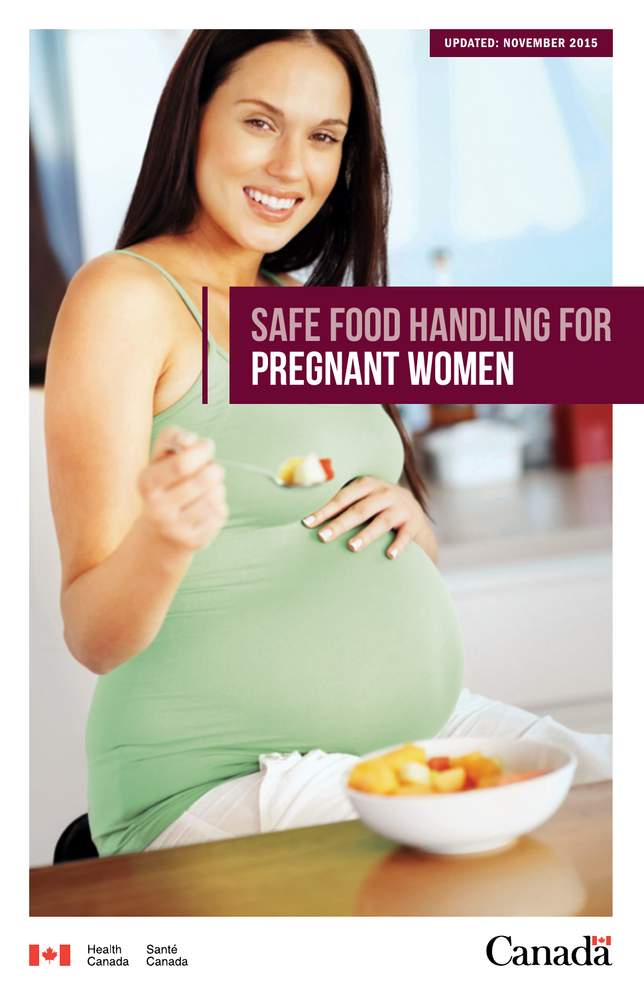## Safe Food Handling for pregnant women



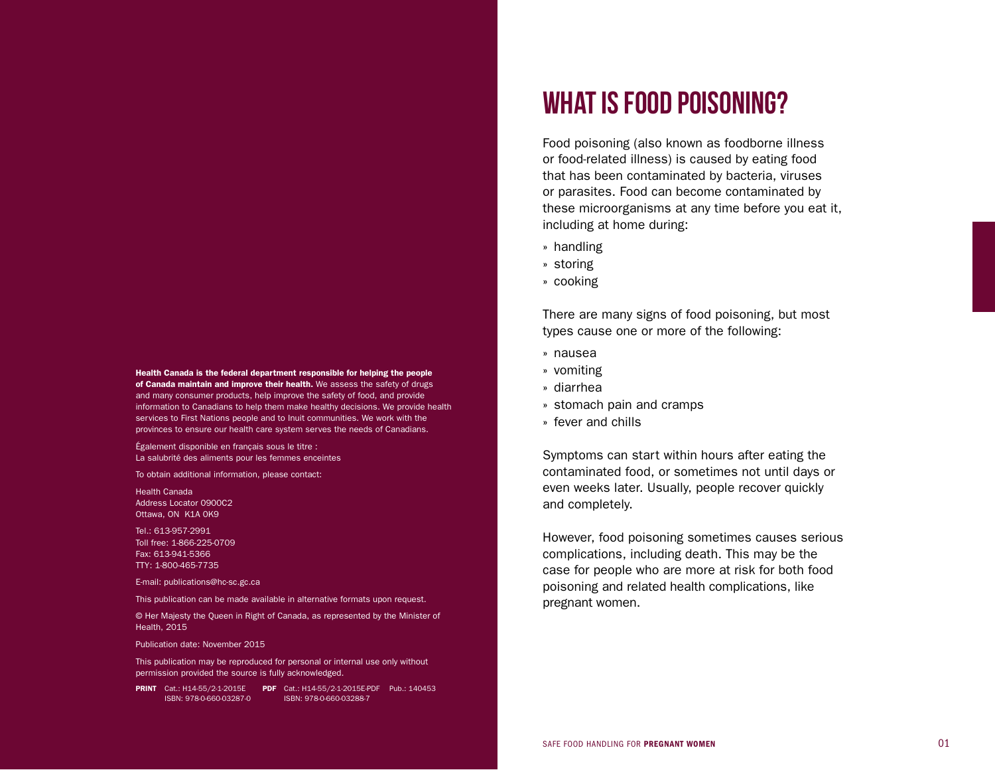Health Canada is the federal department responsible for helping the people of Canada maintain and improve their health. We assess the safety of drugs and many consumer products, help improve the safety of food, and provide information to Canadians to help them make healthy decisions. We provide health services to First Nations people and to Inuit communities. We work with the provinces to ensure our health care system serves the needs of Canadians.

Également disponible en français sous le titre : La salubrité des aliments pour les femmes enceintes

To obtain additional information, please contact:

Health Canada Address Locator 0900C2 Ottawa, ON K1A 0K9

Tel.: 613-957-2991 Toll free: 1-866-225-0709 Fax: 613-941-5366 TTY: 1-800-465-7735

E-mail: publications@hc-sc.gc.ca

This publication can be made available in alternative formats upon request.

© Her Majesty the Queen in Right of Canada, as represented by the Minister of Health, 2015

Publication date: November 2015

This publication may be reproduced for personal or internal use only without permission provided the source is fully acknowledged.

PRINT Cat.: H14-55/2-1-2015E PDF Cat.: H14-55/2-1-2015E-PDF Pub.: 140453 ISBN: 978-0-660-03287-0 ISBN: 978-0-660-03288-7

## WHAT IS FOOD POISONING?

Food poisoning (also known as foodborne illness or food-related illness) is caused by eating food that has been contaminated by bacteria, viruses or parasites. Food can become contaminated by these microorganisms at any time before you eat it, including at home during:

- » handling
- » storing
- » cooking

There are many signs of food poisoning, but most types cause one or more of the following:

- » nausea
- » vomiting
- » diarrhea
- » stomach pain and cramps
- » fever and chills

Symptoms can start within hours after eating the contaminated food, or sometimes not until days or even weeks later. Usually, people recover quickly and completely.

However, food poisoning sometimes causes serious complications, including death. This may be the case for people who are more at risk for both food poisoning and related health complications, like pregnant women.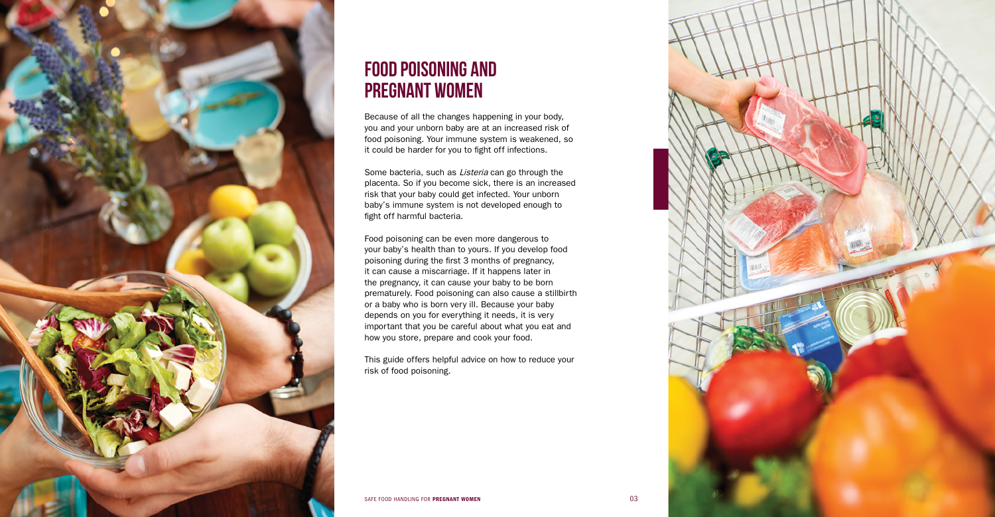

## FOOD POISONING AND PREGNANT WOMEN

Because of all the changes happening in your body, you and your unborn baby are at an increased risk of food poisoning. Your immune system is weakened, so it could be harder for you to fight off infections.

Some bacteria, such as Listeria can go through the placenta. So if you become sick, there is an increased risk that your baby could get infected. Your unborn baby's immune system is not developed enough to fight off harmful bacteria.

Food poisoning can be even more dangerous to your baby's health than to yours. If you develop food poisoning during the first 3 months of pregnancy, it can cause a miscarriage. If it happens later in the pregnancy, it can cause your baby to be born prematurely. Food poisoning can also cause a stillbirth or a baby who is born very ill. Because your baby depends on you for everything it needs, it is very important that you be careful about what you eat and how you store, prepare and cook your food.

This guide offers helpful advice on how to reduce your risk of food poisoning.

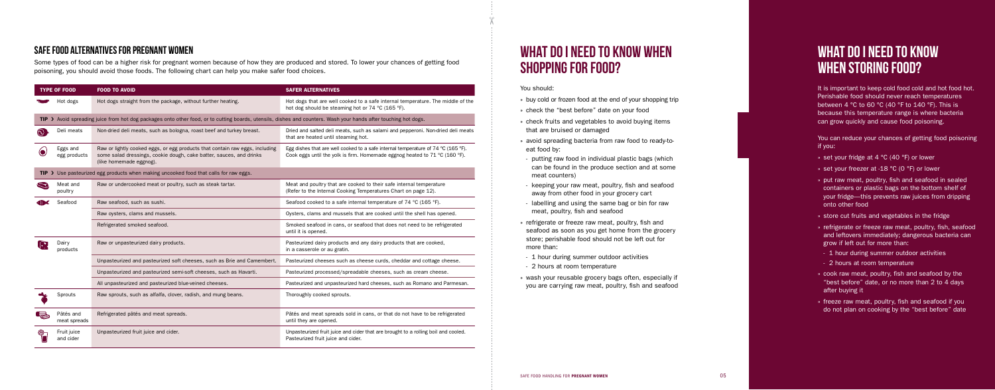# WHAT DO I NEED TO KNOW WHEN

# SHOPPING FOR FOOD?

You should:

- » check the "best before" date on your food
- » check fruits and vegetables to avoid buying items
- » avoid spreading bacteria from raw food to ready-to-
- putting raw food in individual plastic bags (which can be found in the produce section and at some
- keeping your raw meat, poultry, fish and seafood away from other food in your grocery cart
- labelling and using the same bag or bin for raw meat, poultry, fish and seafood
- » refrigerate or freeze raw meat, poultry, fish and seafood as soon as you get home from the grocery store; perishable food should not be left out for
- 1 hour during summer outdoor activities
- » buy cold or frozen food at the end of your shopping trip
- 
- that are bruised or damaged
- eat food by:
- meat counters)
- 
- 
- more than:
- 
- 2 hours at room temperature
- » wash your reusable grocery bags often, especially if you are carrying raw meat, poultry, fish and seafood

It is important to keep cold food cold and hot food hot. Perishable food should never reach temperatures between 4 °C to 60 °C (40 °F to 140 °F). This is because this temperature range is where bacteria can grow quickly and cause food poisoning.

## WHAT DO I NEED TO KNOW WHEN STORING FOOD?

You can reduce your chances of getting food poisoning if you:

- » set your fridge at 4 °C (40 °F) or lower
- » set your freezer at -18 °C (0 °F) or lower
- » put raw meat, poultry, fish and seafood in sealed containers or plastic bags on the bottom shelf of your fridge—this prevents raw juices from dripping onto other food
- » store cut fruits and vegetables in the fridge
- » refrigerate or freeze raw meat, poultry, fish, seafood and leftovers immediately; dangerous bacteria can grow if left out for more than:
- 1 hour during summer outdoor activities
- 2 hours at room temperature
- » cook raw meat, poultry, fish and seafood by the "best before" date, or no more than 2 to 4 days after buying it
- » freeze raw meat, poultry, fish and seafood if you do not plan on cooking by the "best before" date

### SAFE FOOD ALTERNATIVES FOR PREGNANT WOMEN

Some types of food can be a higher risk for pregnant women because of how they are produced and stored. To lower your chances of getting food poisoning, you should avoid those foods. The following chart can help you make safer food choices.

| <b>TYPE OF FOOD</b>    |                                                                                                                                                                  | <b>FOOD TO AVOID</b>                                                                                                                                                           | <b>SAFER ALTERNATIVES</b>                                                                                                                                                            |  |  |  |
|------------------------|------------------------------------------------------------------------------------------------------------------------------------------------------------------|--------------------------------------------------------------------------------------------------------------------------------------------------------------------------------|--------------------------------------------------------------------------------------------------------------------------------------------------------------------------------------|--|--|--|
|                        | Hot dogs                                                                                                                                                         | Hot dogs straight from the package, without further heating.                                                                                                                   | Hot dogs that are well cooked to a safe internal temperature. The middle of the<br>hot dog should be steaming hot or 74 °C (165 °F).                                                 |  |  |  |
|                        | TIP > Avoid spreading juice from hot dog packages onto other food, or to cutting boards, utensils, dishes and counters. Wash your hands after touching hot dogs. |                                                                                                                                                                                |                                                                                                                                                                                      |  |  |  |
| $\odot$                | Deli meats                                                                                                                                                       | Non-dried deli meats, such as bologna, roast beef and turkey breast.                                                                                                           | Dried and salted deli meats, such as salami and pepperoni. Non-dried deli meats<br>that are heated until steaming hot.                                                               |  |  |  |
|                        | Eggs and<br>egg products                                                                                                                                         | Raw or lightly cooked eggs, or egg products that contain raw eggs, including<br>some salad dressings, cookie dough, cake batter, sauces, and drinks<br>(like homemade eggnog). | Egg dishes that are well cooked to a safe internal temperature of 74 $^{\circ}$ C (165 $^{\circ}$ F).<br>Cook eggs until the yolk is firm. Homemade eggnog heated to 71 °C (160 °F). |  |  |  |
|                        | TIP > Use pasteurized egg products when making uncooked food that calls for raw eggs.                                                                            |                                                                                                                                                                                |                                                                                                                                                                                      |  |  |  |
| $\approx$              | Meat and<br>poultry                                                                                                                                              | Raw or undercooked meat or poultry, such as steak tartar.                                                                                                                      | Meat and poultry that are cooked to their safe internal temperature<br>(Refer to the Internal Cooking Temperatures Chart on page 12).                                                |  |  |  |
|                        | Seafood                                                                                                                                                          | Raw seafood, such as sushi.                                                                                                                                                    | Seafood cooked to a safe internal temperature of 74 °C (165 °F).                                                                                                                     |  |  |  |
|                        |                                                                                                                                                                  | Raw oysters, clams and mussels.                                                                                                                                                | Oysters, clams and mussels that are cooked until the shell has opened.                                                                                                               |  |  |  |
|                        |                                                                                                                                                                  | Refrigerated smoked seafood.                                                                                                                                                   | Smoked seafood in cans, or seafood that does not need to be refrigerated<br>until it is opened.                                                                                      |  |  |  |
| $\left  \cdot \right $ | Dairy<br>products                                                                                                                                                | Raw or unpasteurized dairy products.                                                                                                                                           | Pasteurized dairy products and any dairy products that are cooked,<br>in a casserole or au gratin.                                                                                   |  |  |  |
|                        |                                                                                                                                                                  | Unpasteurized and pasteurized soft cheeses, such as Brie and Camembert.                                                                                                        | Pasteurized cheeses such as cheese curds, cheddar and cottage cheese.                                                                                                                |  |  |  |
|                        |                                                                                                                                                                  | Unpasteurized and pasteurized semi-soft cheeses, such as Havarti.                                                                                                              | Pasteurized processed/spreadable cheeses, such as cream cheese.                                                                                                                      |  |  |  |
|                        |                                                                                                                                                                  | All unpasteurized and pasteurized blue-veined cheeses.                                                                                                                         | Pasteurized and unpasteurized hard cheeses, such as Romano and Parmesan.                                                                                                             |  |  |  |
|                        | Sprouts                                                                                                                                                          | Raw sprouts, such as alfalfa, clover, radish, and mung beans.                                                                                                                  | Thoroughly cooked sprouts.                                                                                                                                                           |  |  |  |
|                        | Pâtés and<br>meat spreads                                                                                                                                        | Refrigerated pâtés and meat spreads.                                                                                                                                           | Pâtés and meat spreads sold in cans, or that do not have to be refrigerated<br>until they are opened.                                                                                |  |  |  |
|                        | Fruit juice<br>and cider                                                                                                                                         | Unpasteurized fruit juice and cider.                                                                                                                                           | Unpasteurized fruit juice and cider that are brought to a rolling boil and cooled.<br>Pasteurized fruit juice and cider.                                                             |  |  |  |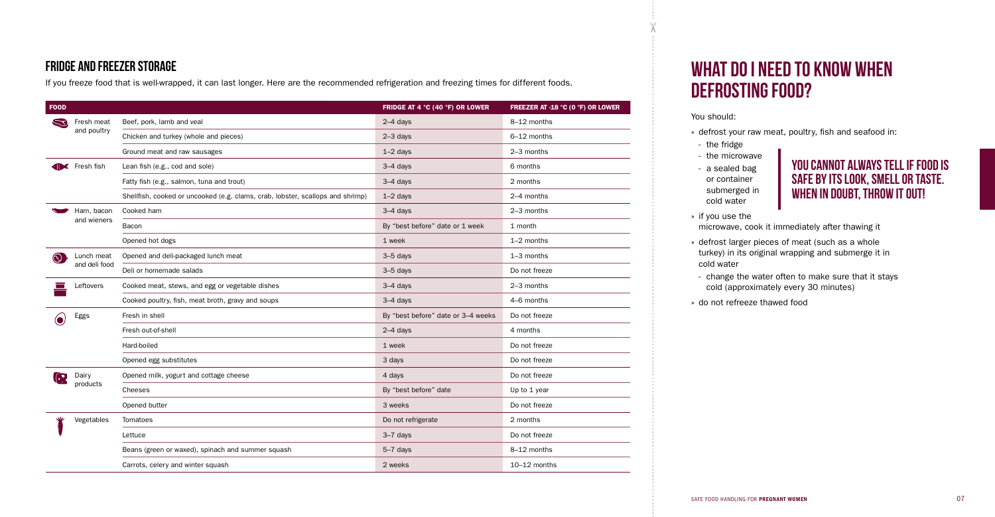### FRIDGE AND FREEZER STORAGE

If you freeze food that is well-wrapped, it can last longer. Here are the recommended refrigeration and freezing times for different foods.

| <b>FOOD</b> |                             |                                                                                | FRIDGE AT 4 °C (40 °F) OR LOWER    | FREEZER AT -18 °C (0 °F) OR LOWER |
|-------------|-----------------------------|--------------------------------------------------------------------------------|------------------------------------|-----------------------------------|
| S           | Fresh meat<br>and poultry   | Beef, pork, lamb and veal                                                      | $2-4$ days                         | 8-12 months                       |
|             |                             | Chicken and turkey (whole and pieces)                                          | $2-3$ days                         | 6-12 months                       |
|             |                             | Ground meat and raw sausages                                                   | $1-2$ days                         | 2-3 months                        |
|             | <b>IC</b> Fresh fish        | Lean fish (e.g., cod and sole)                                                 | $3-4$ days                         | 6 months                          |
|             |                             | Fatty fish (e.g., salmon, tuna and trout)                                      | $3-4$ days                         | 2 months                          |
|             |                             | Shellfish, cooked or uncooked (e.g. clams, crab, lobster, scallops and shrimp) | $1-2$ days                         | 2-4 months                        |
|             | Ham, bacon<br>and wieners   | Cooked ham                                                                     | $3-4$ days                         | 2-3 months                        |
|             |                             | Bacon                                                                          | By "best before" date or 1 week    | 1 month                           |
|             |                             | Opened hot dogs                                                                | 1 week                             | $1-2$ months                      |
| $\odot$     | Lunch meat<br>and deli food | Opened and deli-packaged lunch meat                                            | $3-5$ days                         | $1-3$ months                      |
|             |                             | Deli or homemade salads                                                        | $3-5$ days                         | Do not freeze                     |
|             | Leftovers                   | Cooked meat, stews, and egg or vegetable dishes                                | $3-4$ days                         | 2-3 months                        |
|             |                             | Cooked poultry, fish, meat broth, gravy and soups                              | $3-4$ days                         | 4-6 months                        |
|             | Eggs                        | Fresh in shell                                                                 | By "best before" date or 3-4 weeks | Do not freeze                     |
|             |                             | Fresh out-of-shell                                                             | $2-4$ days                         | 4 months                          |
|             |                             | Hard-boiled                                                                    | 1 week                             | Do not freeze                     |
|             |                             | Opened egg substitutes                                                         | 3 days                             | Do not freeze                     |
| $\bigodot$  | Dairy<br>products           | Opened milk, yogurt and cottage cheese                                         | 4 days                             | Do not freeze                     |
|             |                             | Cheeses                                                                        | By "best before" date              | Up to 1 year                      |
|             |                             | Opened butter                                                                  | 3 weeks                            | Do not freeze                     |
|             | Vegetables                  | Tomatoes                                                                       | Do not refrigerate                 | 2 months                          |
|             |                             | Lettuce                                                                        | 3-7 days                           | Do not freeze                     |
|             |                             | Beans (green or waxed), spinach and summer squash                              | $5-7$ days                         | 8-12 months                       |
|             |                             | Carrots, celery and winter squash                                              | 2 weeks                            | 10-12 months                      |

YOU CANNOT ALWAYS TELL IF FOOD IS SAFE BY ITS LOOK, SMELL OR TASTE. WHEN IN DOUBT, THROW IT OUT!

# WHAT DO I NEED TO KNOW WHEN

# DEFROSTING FOOD?

You should:

» defrost your raw meat, poultry, fish and seafood in:

microwave, cook it immediately after thawing it

- 
- the fridge
- the microwave
- a sealed bag
- or container submerged in cold water
- » if you use the
- cold water
- 
- » do not refreeze thawed food

» defrost larger pieces of meat (such as a whole turkey) in its original wrapping and submerge it in

- change the water often to make sure that it stays cold (approximately every 30 minutes)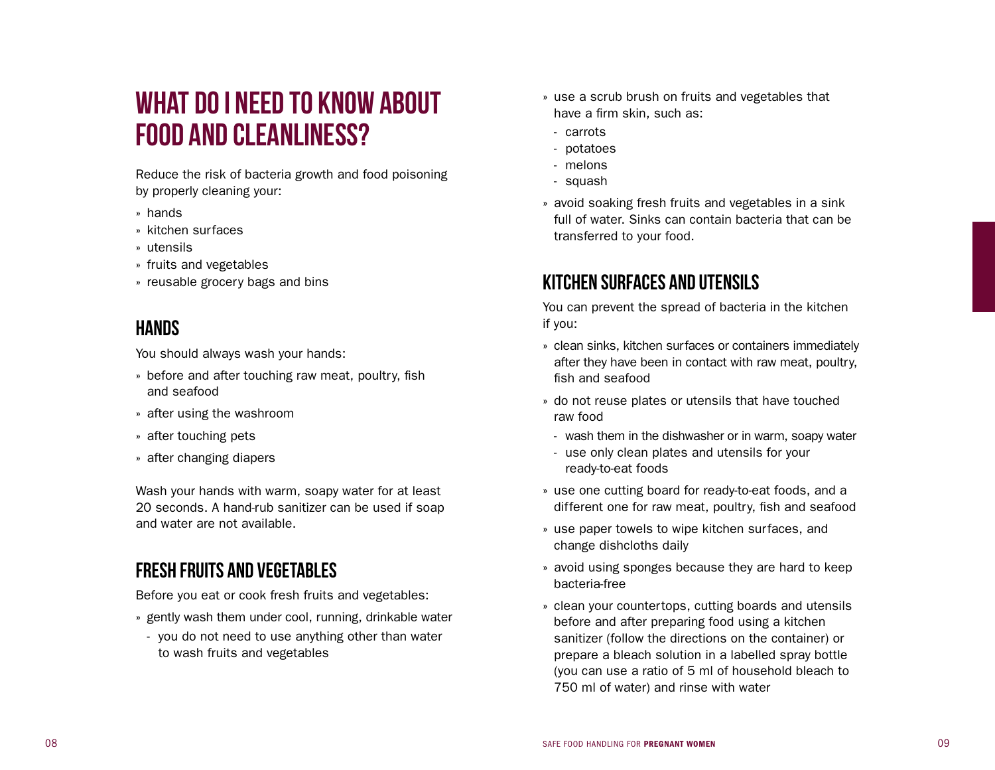## WHAT DO I NEED TO KNOW ABOUT FOOD AND CLEANLINESS?

Reduce the risk of bacteria growth and food poisoning by properly cleaning your:<br>» hands<br>» kitchen surfaces

- 
- 
- » utensils
- 
- » fruits and vegetables » reusable grocery bags and bins

### HANDS

You should always wash your hands:

- » before and after touching raw meat, poultry, fish and seafood
- » after using the washroom
- 
- » after touching pets » after changing diapers

Wash your hands with warm, soapy water for at least 20 seconds. A hand-rub sanitizer can be used if soap and water are not available.

### FRESH FRUITS AND VEGETABLES

Before you eat or cook fresh fruits and vegetables:

- » gently wash them under cool, running, drinkable water
- you do not need to use anything other than water to wash fruits and vegetables
- » use a scrub brush on fruits and vegetables that have a firm skin, such as:<br>- carrots
	-
	- potatoes
	- melons
- squash
- » avoid soaking fresh fruits and vegetables in a sink full of water. Sinks can contain bacteria that can be transferred to your food.

### KITCHEN SURFACES AND UTENSILS

You can prevent the spread of bacteria in the kitchen if you:

- » clean sinks, kitchen surfaces or containers immediately after they have been in contact with raw meat, poultry, fish and seafood
- » do not reuse plates or utensils that have touched raw food
- wash them in the dishwasher or in warm, soapy water
- use only clean plates and utensils for your ready-to-eat foods
- » use one cutting board for ready-to-eat foods, and a different one for raw meat, poultry, fish and seafood
- » use paper towels to wipe kitchen surfaces, and change dishcloths daily
- » avoid using sponges because they are hard to keep bacteria-free
- » clean your countertops, cutting boards and utensils before and after preparing food using a kitchen sanitizer (follow the directions on the container) or prepare a bleach solution in a labelled spray bottle (you can use a ratio of 5 ml of household bleach to 750 ml of water) and rinse with water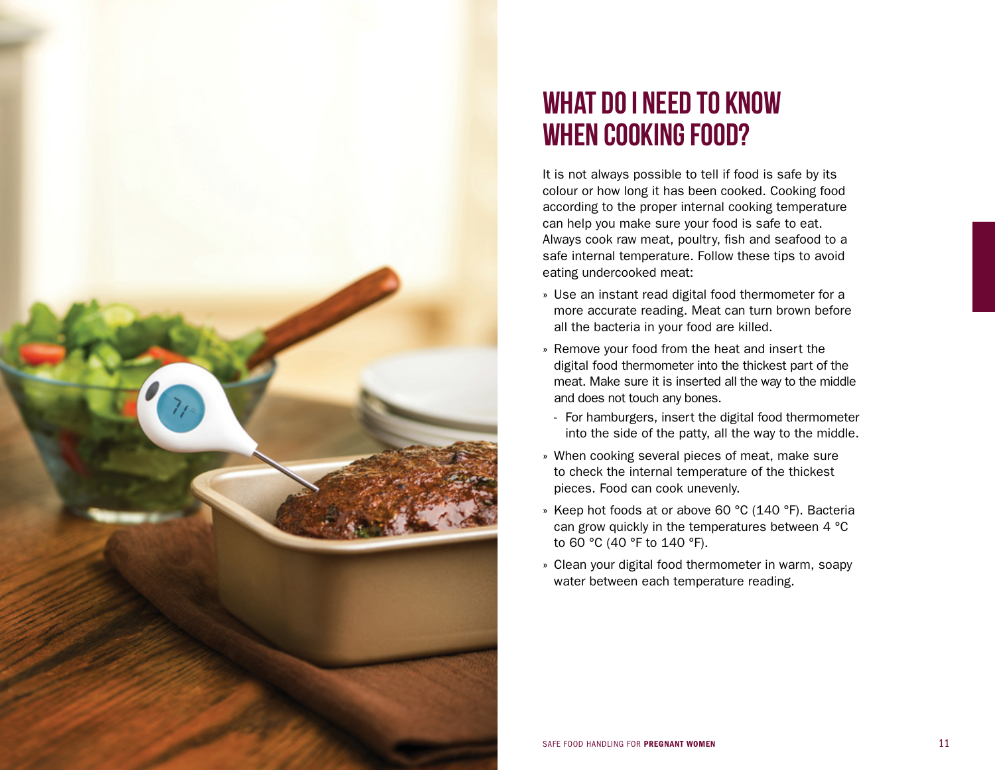

## WHAT DO I NEED TO KNOW WHEN COOKING FOOD?

It is not always possible to tell if food is safe by its colour or how long it has been cooked. Cooking food according to the proper internal cooking temperature can help you make sure your food is safe to eat. Always cook raw meat, poultry, fish and seafood to a safe internal temperature. Follow these tips to avoid eating undercooked meat:

- » Use an instant read digital food thermometer for a more accurate reading. Meat can turn brown before all the bacteria in your food are killed.
- » Remove your food from the heat and insert the digital food thermometer into the thickest part of the meat. Make sure it is inserted all the way to the middle and does not touch any bones.<br>- For hamburgers, insert the digital food thermometer
- into the side of the patty, all the way to the middle.
- » When cooking several pieces of meat, make sure to check the internal temperature of the thickest pieces. Food can cook unevenly.
- » Keep hot foods at or above 60 °C (140 °F). Bacteria can grow quickly in the temperatures between 4 °C to 60 °C (40 °F to 140 °F).
- » Clean your digital food thermometer in warm, soapy water between each temperature reading.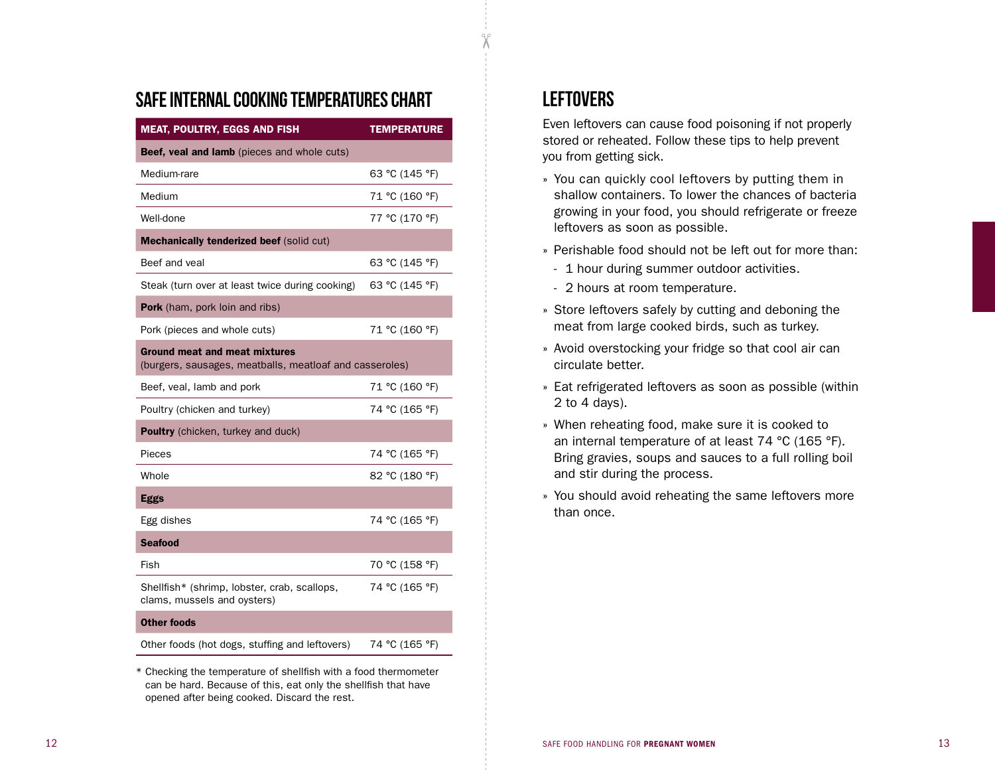#### SAFE INTERNAL COOKING TEMPERATURES CHART

| <b>MEAT, POULTRY, EGGS AND FISH</b>                                                             | <b>TEMPERATURE</b> |  |  |  |  |
|-------------------------------------------------------------------------------------------------|--------------------|--|--|--|--|
| Beef, veal and lamb (pieces and whole cuts)                                                     |                    |  |  |  |  |
| Medium-rare                                                                                     | 63 °C (145 °F)     |  |  |  |  |
| Medium                                                                                          | 71 °C (160 °F)     |  |  |  |  |
| Well-done                                                                                       | 77 °C (170 °F)     |  |  |  |  |
| Mechanically tenderized beef (solid cut)                                                        |                    |  |  |  |  |
| Beef and yeal                                                                                   | 63 °C (145 °F)     |  |  |  |  |
| Steak (turn over at least twice during cooking)                                                 | 63 °C (145 °F)     |  |  |  |  |
| Pork (ham, pork loin and ribs)                                                                  |                    |  |  |  |  |
| Pork (pieces and whole cuts)                                                                    | 71 °C (160 °F)     |  |  |  |  |
| <b>Ground meat and meat mixtures</b><br>(burgers, sausages, meatballs, meatloaf and casseroles) |                    |  |  |  |  |
| Beef, yeal, lamb and pork                                                                       | 71 °C (160 °F)     |  |  |  |  |
| Poultry (chicken and turkey)                                                                    | 74 °C (165 °F)     |  |  |  |  |
| <b>Poultry</b> (chicken, turkey and duck)                                                       |                    |  |  |  |  |
| Pieces                                                                                          | 74 °C (165 °F)     |  |  |  |  |
| Whole                                                                                           | 82 °C (180 °F)     |  |  |  |  |
| <b>Eggs</b>                                                                                     |                    |  |  |  |  |
| Egg dishes                                                                                      | 74 °C (165 °F)     |  |  |  |  |
| <b>Seafood</b>                                                                                  |                    |  |  |  |  |
| Fish                                                                                            | 70 °C (158 °F)     |  |  |  |  |
| Shellfish* (shrimp, lobster, crab, scallops,<br>clams, mussels and oysters)                     | 74 °C (165 °F)     |  |  |  |  |
| <b>Other foods</b>                                                                              |                    |  |  |  |  |
| Other foods (hot dogs, stuffing and leftovers)                                                  | 74 °C (165 °F)     |  |  |  |  |

\* Checking the temperature of shellfish with a food thermometer can be hard. Because of this, eat only the shellfish that have opened after being cooked. Discard the rest.

### **LEFTOVERS**

qρ

Even leftovers can cause food poisoning if not properly stored or reheated. Follow these tips to help prevent you from getting sick.

- » You can quickly cool leftovers by putting them in shallow containers. To lower the chances of bacteria growing in your food, you should refrigerate or freeze leftovers as soon as possible.
- » Perishable food should not be left out for more than:
- 1 hour during summer outdoor activities.
- 2 hours at room temperature.
- » Store leftovers safely by cutting and deboning the meat from large cooked birds, such as turkey.
- » Avoid overstocking your fridge so that cool air can circulate better.
- » Eat refrigerated leftovers as soon as possible (within 2 to 4 days).
- » When reheating food, make sure it is cooked to an internal temperature of at least 74 °C (165 °F). Bring gravies, soups and sauces to a full rolling boil and stir during the process.
- » You should avoid reheating the same leftovers more than once.